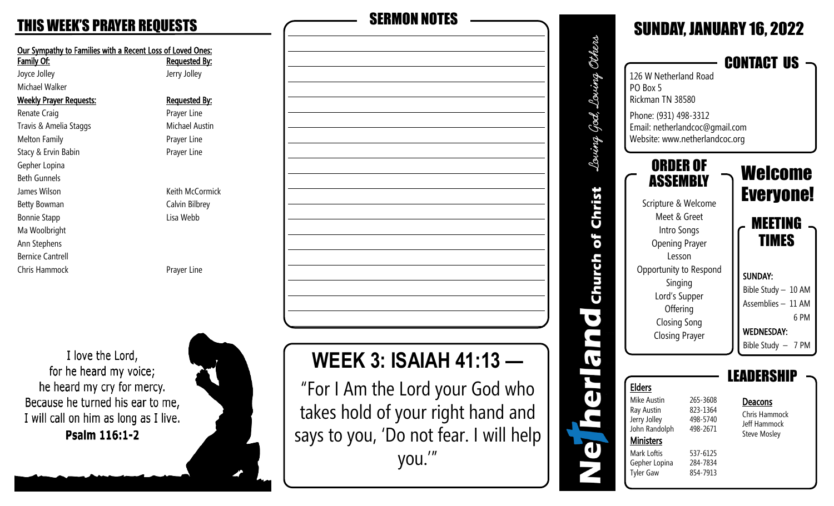| Our Sympathy to Families with a Recent Loss of Loved Ones:<br>Family Of: | <b>Requested By:</b> |  |
|--------------------------------------------------------------------------|----------------------|--|
| Joyce Jolley                                                             | Jerry Jolley         |  |
| Michael Walker                                                           |                      |  |
| <b>Weekly Prayer Requests:</b>                                           | <u>Requested By:</u> |  |
| Renate Craig                                                             | Prayer Line          |  |
| Travis & Amelia Staggs                                                   | Michael Austin       |  |
| <b>Melton Family</b>                                                     | Prayer Line          |  |
| Stacy & Ervin Babin                                                      | Prayer Line          |  |
| Gepher Lopina                                                            |                      |  |
| <b>Beth Gunnels</b>                                                      |                      |  |
| James Wilson                                                             | Keith McCormick      |  |
| Betty Bowman                                                             | Calvin Bilbrey       |  |
| <b>Bonnie Stapp</b>                                                      | Lisa Webb            |  |
| Ma Woolbright                                                            |                      |  |
| Ann Stephens                                                             |                      |  |
| <b>Bernice Cantrell</b>                                                  |                      |  |
| <b>Chris Hammock</b>                                                     | Prayer Line          |  |
|                                                                          |                      |  |
| I love the Lord,<br>for he heard my voice:                               |                      |  |

TOT TIC HEATH THY VOICE, he heard my cry for mercy. Because he turned his ear to me, I will call on him as long as I live. Psalm 116:1-2





says to you, 'Do not fear. I will help

you.'"

SUNDAY, JANUARY 16, 2022 Others Loving God, Loving Others CONTACT US Louing 126 W Netherland Road PO Box 5 Rickman TN 38580 God. Phone: (931) 498-3312 Email: netherlandcoc@gmail.com Louing Website: www.netherlandcoc.org ORDER OF Welcome ASSEMBLY Christ Everyone! Scripture & Welcome Meet & Greet MEETING Intro Songs of TIMES Opening Prayer Lesson Church Opportunity to Respond SUNDAY: Singing Bible Study – 10 AM Lord's Supper Assemblies – 11 AM **Offering**  $\bullet$  6 PM Closing Song WEDNESDAY: n Closing Prayer Bible Study – 7 PM IT LEADERSHIP  $\ddot{\phantom{a}}$ Elders Mike Austin 265-3608 Deacons Ray Austin 823-1364 Chris Hammock Jerry Jolley 498-5740 Jeff Hammock John Randolph 498-2671 Steve Mosley **Ministers**  $\mathbf d$ Mark Loftis 537-6125 Gepher Lopina 284-7834 Tyler Gaw 854-7913